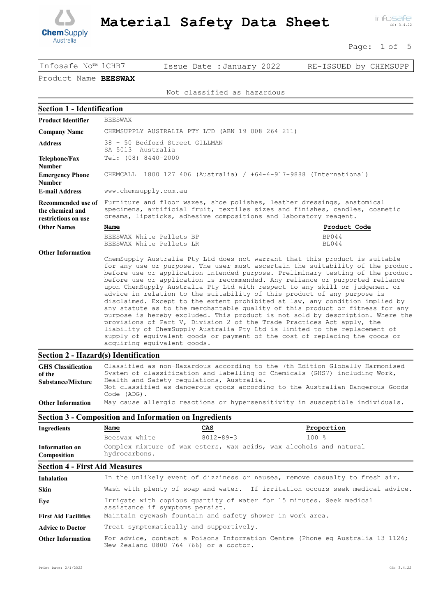

infosafe CS: 3.4.22

Page: 1 of 5

Infosafe No™ 1CHB7 Issue Date :January 2022 RE-ISSUED by CHEMSUPP

# Product Name BEESWAX

Not classified as hazardous

| <b>Section 1 - Identification</b>                               |                                                                                                                                                                                                                                                                                                                                                                                                                                                                                                                                                                                                                                                                                                                                                                                                                                                                                                                                                                                                                    |                              |
|-----------------------------------------------------------------|--------------------------------------------------------------------------------------------------------------------------------------------------------------------------------------------------------------------------------------------------------------------------------------------------------------------------------------------------------------------------------------------------------------------------------------------------------------------------------------------------------------------------------------------------------------------------------------------------------------------------------------------------------------------------------------------------------------------------------------------------------------------------------------------------------------------------------------------------------------------------------------------------------------------------------------------------------------------------------------------------------------------|------------------------------|
| <b>Product Identifier</b>                                       | <b>BEESWAX</b>                                                                                                                                                                                                                                                                                                                                                                                                                                                                                                                                                                                                                                                                                                                                                                                                                                                                                                                                                                                                     |                              |
| <b>Company Name</b>                                             | CHEMSUPPLY AUSTRALIA PTY LTD (ABN 19 008 264 211)                                                                                                                                                                                                                                                                                                                                                                                                                                                                                                                                                                                                                                                                                                                                                                                                                                                                                                                                                                  |                              |
| <b>Address</b>                                                  | 38 - 50 Bedford Street GILLMAN<br>SA 5013 Australia                                                                                                                                                                                                                                                                                                                                                                                                                                                                                                                                                                                                                                                                                                                                                                                                                                                                                                                                                                |                              |
| Telephone/Fax<br><b>Number</b>                                  | Tel: (08) 8440-2000                                                                                                                                                                                                                                                                                                                                                                                                                                                                                                                                                                                                                                                                                                                                                                                                                                                                                                                                                                                                |                              |
| <b>Emergency Phone</b><br><b>Number</b>                         | CHEMCALL 1800 127 406 (Australia) / +64-4-917-9888 (International)                                                                                                                                                                                                                                                                                                                                                                                                                                                                                                                                                                                                                                                                                                                                                                                                                                                                                                                                                 |                              |
| <b>E-mail Address</b>                                           | www.chemsupply.com.au                                                                                                                                                                                                                                                                                                                                                                                                                                                                                                                                                                                                                                                                                                                                                                                                                                                                                                                                                                                              |                              |
| Recommended use of<br>the chemical and<br>restrictions on use   | Furniture and floor waxes, shoe polishes, leather dressings, anatomical<br>specimens, artificial fruit, textiles sizes and finishes, candles, cosmetic<br>creams, lipsticks, adhesive compositions and laboratory reagent.                                                                                                                                                                                                                                                                                                                                                                                                                                                                                                                                                                                                                                                                                                                                                                                         |                              |
| <b>Other Names</b>                                              | Name                                                                                                                                                                                                                                                                                                                                                                                                                                                                                                                                                                                                                                                                                                                                                                                                                                                                                                                                                                                                               | Product Code                 |
|                                                                 | BEESWAX White Pellets BP<br>BEESWAX White Pellets LR                                                                                                                                                                                                                                                                                                                                                                                                                                                                                                                                                                                                                                                                                                                                                                                                                                                                                                                                                               | <b>BP044</b><br><b>BL044</b> |
| <b>Other Information</b>                                        | ChemSupply Australia Pty Ltd does not warrant that this product is suitable<br>for any use or purpose. The user must ascertain the suitability of the product<br>before use or application intended purpose. Preliminary testing of the product<br>before use or application is recommended. Any reliance or purported reliance<br>upon ChemSupply Australia Pty Ltd with respect to any skill or judgement or<br>advice in relation to the suitability of this product of any purpose is<br>disclaimed. Except to the extent prohibited at law, any condition implied by<br>any statute as to the merchantable quality of this product or fitness for any<br>purpose is hereby excluded. This product is not sold by description. Where the<br>provisions of Part V, Division 2 of the Trade Practices Act apply, the<br>liability of ChemSupply Australia Pty Ltd is limited to the replacement of<br>supply of equivalent goods or payment of the cost of replacing the goods or<br>acquiring equivalent goods. |                              |
| <b>Section 2 - Hazard(s) Identification</b>                     |                                                                                                                                                                                                                                                                                                                                                                                                                                                                                                                                                                                                                                                                                                                                                                                                                                                                                                                                                                                                                    |                              |
| <b>GHS Classification</b><br>of the<br><b>Substance/Mixture</b> | Classified as non-Hazardous according to the 7th Edition Globally Harmonised<br>System of classification and labelling of Chemicals (GHS7) including Work,<br>Health and Safety regulations, Australia.<br>Not classified as dangerous goods according to the Australian Dangerous Goods                                                                                                                                                                                                                                                                                                                                                                                                                                                                                                                                                                                                                                                                                                                           |                              |

Other Information May cause allergic reactions or hypersensitivity in susceptible individuals.

Code (ADG).

| <b>Section 3 - Composition and Information on Ingredients</b> |               |                                 |                                                                    |
|---------------------------------------------------------------|---------------|---------------------------------|--------------------------------------------------------------------|
| Ingredients                                                   | Name          | $\frac{\text{CAS}}{\text{CAS}}$ | Proportion                                                         |
|                                                               | Beeswax white | $8012 - 89 - 3$                 | 100 %                                                              |
| Information on<br>Composition                                 | hydrocarbons. |                                 | Complex mixture of wax esters, wax acids, wax alcohols and natural |

#### Section 4 - First Aid Measures

| <b>Inhalation</b>           | In the unlikely event of dizziness or nausea, remove casualty to fresh air.                                             |
|-----------------------------|-------------------------------------------------------------------------------------------------------------------------|
| <b>Skin</b>                 | Wash with plenty of soap and water. If irritation occurs seek medical advice.                                           |
| Eye                         | Irrigate with copious quantity of water for 15 minutes. Seek medical<br>assistance if symptoms persist.                 |
| <b>First Aid Facilities</b> | Maintain eyewash fountain and safety shower in work area.                                                               |
| <b>Advice to Doctor</b>     | Treat symptomatically and supportively.                                                                                 |
| <b>Other Information</b>    | For advice, contact a Poisons Information Centre (Phone eq Australia 13 1126;<br>New Zealand 0800 764 766) or a doctor. |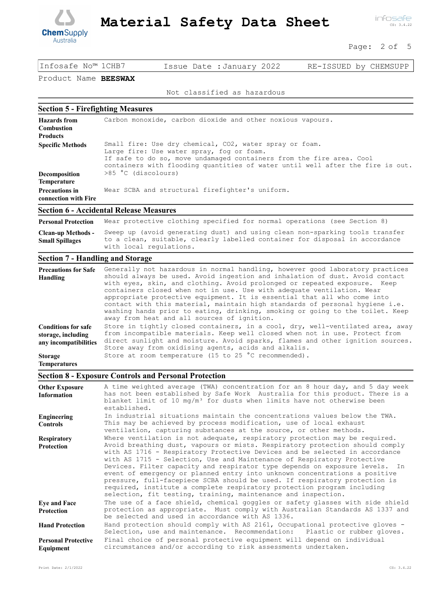

infosafe CS: 3.4.22

Page: 2 of 5

Infosafe No™ 1CHB7 Issue Date :January 2022 RE-ISSUED by CHEMSUPP

### Product Name BEESWAX

Not classified as hazardous

#### Section 5 - Firefighting Measures

| <b>Hazards</b> from<br><b>Combustion</b><br><b>Products</b> | Carbon monoxide, carbon dioxide and other noxious vapours.                                                                                                                                                                                                     |
|-------------------------------------------------------------|----------------------------------------------------------------------------------------------------------------------------------------------------------------------------------------------------------------------------------------------------------------|
| <b>Specific Methods</b>                                     | Small fire: Use dry chemical, CO2, water spray or foam.<br>Large fire: Use water spray, fog or foam.<br>If safe to do so, move undamaged containers from the fire area. Cool<br>containers with flooding quantities of water until well after the fire is out. |
| Decomposition                                               | >85 °C (discolours)                                                                                                                                                                                                                                            |
| <b>Temperature</b>                                          |                                                                                                                                                                                                                                                                |
| <b>Precautions in</b><br>connection with Fire               | Wear SCBA and structural firefighter's uniform.                                                                                                                                                                                                                |
|                                                             |                                                                                                                                                                                                                                                                |

### Section 6 - Accidental Release Measures

Personal Protection Wear protective clothing specified for normal operations (see Section 8) Sweep up (avoid generating dust) and using clean non-sparking tools transfer to a clean, suitable, clearly labelled container for disposal in accordance with local regulations. Clean-up Methods - Small Spillages

#### Section 7 - Handling and Storage

| <b>Precautions for Safe</b><br>Handling                                   | Generally not hazardous in normal handling, however good laboratory practices<br>should always be used. Avoid ingestion and inhalation of dust. Avoid contact<br>with eyes, skin, and clothing. Avoid prolonged or repeated exposure. Keep<br>containers closed when not in use. Use with adequate ventilation. Wear<br>appropriate protective equipment. It is essential that all who come into<br>contact with this material, maintain high standards of personal hygiene i.e.<br>washing hands prior to eating, drinking, smoking or going to the toilet. Keep<br>away from heat and all sources of ignition. |
|---------------------------------------------------------------------------|------------------------------------------------------------------------------------------------------------------------------------------------------------------------------------------------------------------------------------------------------------------------------------------------------------------------------------------------------------------------------------------------------------------------------------------------------------------------------------------------------------------------------------------------------------------------------------------------------------------|
| <b>Conditions for safe</b><br>storage, including<br>any incompatibilities | Store in tightly closed containers, in a cool, dry, well-ventilated area, away<br>from incompatible materials. Keep well closed when not in use. Protect from<br>direct sunlight and moisture. Avoid sparks, flames and other ignition sources.<br>Store away from oxidising agents, acids and alkalis.                                                                                                                                                                                                                                                                                                          |
| <b>Storage</b><br><b>Temperatures</b>                                     | Store at room temperature (15 to 25 °C recommended).                                                                                                                                                                                                                                                                                                                                                                                                                                                                                                                                                             |

#### Section 8 - Exposure Controls and Personal Protection

| <b>Other Exposure</b><br><b>Information</b> | A time weighted average (TWA) concentration for an 8 hour day, and 5 day week<br>has not been established by Safe Work Australia for this product. There is a<br>blanket limit of 10 mg/m <sup>3</sup> for dusts when limits have not otherwise been<br>established.                                                                                                                                                                                                                                                                                                                                                                                                                                        |
|---------------------------------------------|-------------------------------------------------------------------------------------------------------------------------------------------------------------------------------------------------------------------------------------------------------------------------------------------------------------------------------------------------------------------------------------------------------------------------------------------------------------------------------------------------------------------------------------------------------------------------------------------------------------------------------------------------------------------------------------------------------------|
| Engineering<br><b>Controls</b>              | In industrial situations maintain the concentrations values below the TWA.<br>This may be achieved by process modification, use of local exhaust<br>ventilation, capturing substances at the source, or other methods.                                                                                                                                                                                                                                                                                                                                                                                                                                                                                      |
| <b>Respiratory</b><br><b>Protection</b>     | Where ventilation is not adequate, respiratory protection may be required.<br>Avoid breathing dust, vapours or mists. Respiratory protection should comply<br>with AS 1716 - Respiratory Protective Devices and be selected in accordance<br>with AS 1715 - Selection, Use and Maintenance of Respiratory Protective<br>Devices. Filter capacity and respirator type depends on exposure levels. In<br>event of emergency or planned entry into unknown concentrations a positive<br>pressure, full-facepiece SCBA should be used. If respiratory protection is<br>required, institute a complete respiratory protection program including<br>selection, fit testing, training, maintenance and inspection. |
| <b>Eye and Face</b><br><b>Protection</b>    | The use of a face shield, chemical goggles or safety glasses with side shield<br>protection as appropriate. Must comply with Australian Standards AS 1337 and<br>be selected and used in accordance with AS 1336.                                                                                                                                                                                                                                                                                                                                                                                                                                                                                           |
| <b>Hand Protection</b>                      | Hand protection should comply with AS 2161, Occupational protective gloves -<br>Selection, use and maintenance. Recommendation: Plastic or rubber gloves.                                                                                                                                                                                                                                                                                                                                                                                                                                                                                                                                                   |
| <b>Personal Protective</b><br>Equipment     | Final choice of personal protective equipment will depend on individual<br>circumstances and/or according to risk assessments undertaken.                                                                                                                                                                                                                                                                                                                                                                                                                                                                                                                                                                   |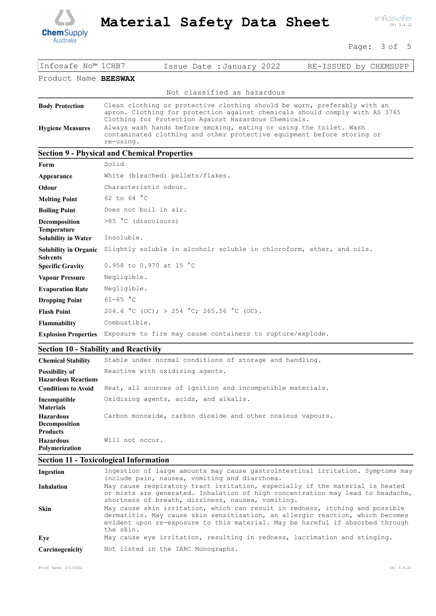

infosafe CS: 3.4.22

Page: 3 of 5

| Infosafe No™ 1CHB7                                | Issue Date : January 2022<br>RE-ISSUED by CHEMSUPP                                                                                                                                                                                                                                                                                                              |
|---------------------------------------------------|-----------------------------------------------------------------------------------------------------------------------------------------------------------------------------------------------------------------------------------------------------------------------------------------------------------------------------------------------------------------|
| Product Name BEESWAX                              |                                                                                                                                                                                                                                                                                                                                                                 |
|                                                   | Not classified as hazardous                                                                                                                                                                                                                                                                                                                                     |
| <b>Body Protection</b><br><b>Hygiene Measures</b> | Clean clothing or protective clothing should be worn, preferably with an<br>apron. Clothing for protection against chemicals should comply with AS 3765<br>Clothing for Protection Against Hazardous Chemicals.<br>Always wash hands before smoking, eating or using the toilet. Wash<br>contaminated clothing and other protective equipment before storing or |
|                                                   | re-using.                                                                                                                                                                                                                                                                                                                                                       |
|                                                   | <b>Section 9 - Physical and Chemical Properties</b>                                                                                                                                                                                                                                                                                                             |
| Form                                              | Solid                                                                                                                                                                                                                                                                                                                                                           |
| Appearance                                        | White (bleached) pellets/flakes.                                                                                                                                                                                                                                                                                                                                |
| Odour                                             | Characteristic odour.                                                                                                                                                                                                                                                                                                                                           |
| <b>Melting Point</b>                              | 62 to 64 °C                                                                                                                                                                                                                                                                                                                                                     |
| <b>Boiling Point</b>                              | Does not boil in air.                                                                                                                                                                                                                                                                                                                                           |
| Decomposition<br>Temperature                      | >85 °C (discolours)                                                                                                                                                                                                                                                                                                                                             |
| <b>Solubility in Water</b>                        | Insoluble.                                                                                                                                                                                                                                                                                                                                                      |
| <b>Solubility in Organic</b><br><b>Solvents</b>   | Slightly soluble in alcohol; soluble in chloroform, ether, and oils.                                                                                                                                                                                                                                                                                            |
| <b>Specific Gravity</b>                           | 0.958 to 0.970 at 15 °C                                                                                                                                                                                                                                                                                                                                         |
| <b>Vapour Pressure</b>                            | Negligible.                                                                                                                                                                                                                                                                                                                                                     |
| <b>Evaporation Rate</b>                           | Negligible.                                                                                                                                                                                                                                                                                                                                                     |
| <b>Dropping Point</b>                             | $61 - 65 °C$                                                                                                                                                                                                                                                                                                                                                    |
| <b>Flash Point</b>                                | 204.4 °C (OC); > 254 °C; 265.56 °C (OC).                                                                                                                                                                                                                                                                                                                        |
| Flammability                                      | Combustible.                                                                                                                                                                                                                                                                                                                                                    |
| <b>Explosion Properties</b>                       | Exposure to fire may cause containers to rupture/explode.                                                                                                                                                                                                                                                                                                       |

# Section 10 - Stability and Reactivity

| <b>Chemical Stability</b>                                    | Stable under normal conditions of storage and handling.    |
|--------------------------------------------------------------|------------------------------------------------------------|
| <b>Possibility of</b><br><b>Hazardous Reactions</b>          | Reactive with oxidizing agents.                            |
| <b>Conditions to Avoid</b>                                   | Heat, all sources of ignition and incompatible materials.  |
| Incompatible<br><b>Materials</b>                             | Oxidising agents, acids, and alkalis.                      |
| <b>Hazardous</b><br><b>Decomposition</b>                     | Carbon monoxide, carbon dioxide and other noxious vapours. |
| <b>Products</b><br><b>Hazardous</b><br><b>Polymerization</b> | Will not occur.                                            |

# Section 11 - Toxicological Information

| Ingestion         | Ingestion of large amounts may cause gastrointestinal irritation. Symptoms may<br>include pain, nausea, vomiting and diarrhoea.                                                                                                                             |
|-------------------|-------------------------------------------------------------------------------------------------------------------------------------------------------------------------------------------------------------------------------------------------------------|
| <b>Inhalation</b> | May cause respiratory tract irritation, especially if the material is heated<br>or mists are generated. Inhalation of high concentration may lead to headache,<br>shortness of breath, dizziness, nausea, vomiting.                                         |
| <b>Skin</b>       | May cause skin irritation, which can result in redness, itching and possible<br>dermatitis. May cause skin sensitization, an allergic reaction, which becomes<br>evident upon re-exposure to this material. May be harmful if absorbed through<br>the skin. |
| Eve               | May cause eye irritation, resulting in redness, lacrimation and stinging.                                                                                                                                                                                   |
| Carcinogenicity   | Not listed in the IARC Monographs.                                                                                                                                                                                                                          |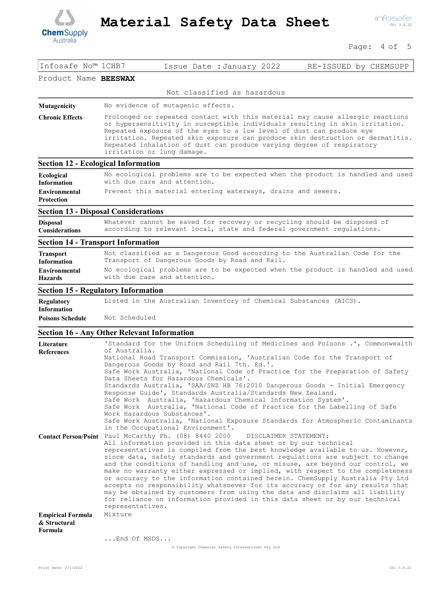

### Page: 4 of 5

| Infosafe No™ 1CHB7                                  | RE-ISSUED by CHEMSUPP<br>Issue Date : January 2022                                                                                                                                                                                                                                                                                                                                                                                                                                                                                                                                                                                                                                                                                                                                                                                          |
|-----------------------------------------------------|---------------------------------------------------------------------------------------------------------------------------------------------------------------------------------------------------------------------------------------------------------------------------------------------------------------------------------------------------------------------------------------------------------------------------------------------------------------------------------------------------------------------------------------------------------------------------------------------------------------------------------------------------------------------------------------------------------------------------------------------------------------------------------------------------------------------------------------------|
| Product Name BEESWAX                                |                                                                                                                                                                                                                                                                                                                                                                                                                                                                                                                                                                                                                                                                                                                                                                                                                                             |
|                                                     | Not classified as hazardous                                                                                                                                                                                                                                                                                                                                                                                                                                                                                                                                                                                                                                                                                                                                                                                                                 |
| Mutagenicity                                        | No evidence of mutagenic effects.                                                                                                                                                                                                                                                                                                                                                                                                                                                                                                                                                                                                                                                                                                                                                                                                           |
| <b>Chronic Effects</b>                              | Prolonged or repeated contact with this material may cause allergic reactions<br>or hypersensitivity in susceptible individuals resulting in skin irritation.<br>Repeated exposure of the eyes to a low level of dust can produce eye<br>irritation. Repeated skin exposure can produce skin destruction or dermatitis.<br>Repeated inhalation of dust can produce varying degree of respiratory<br>irritation or lung damage.                                                                                                                                                                                                                                                                                                                                                                                                              |
|                                                     | <b>Section 12 - Ecological Information</b>                                                                                                                                                                                                                                                                                                                                                                                                                                                                                                                                                                                                                                                                                                                                                                                                  |
| <b>Ecological</b><br><b>Information</b>             | No ecological problems are to be expected when the product is handled and used<br>with due care and attention.                                                                                                                                                                                                                                                                                                                                                                                                                                                                                                                                                                                                                                                                                                                              |
| <b>Environmental</b><br><b>Protection</b>           | Prevent this material entering waterways, drains and sewers.                                                                                                                                                                                                                                                                                                                                                                                                                                                                                                                                                                                                                                                                                                                                                                                |
|                                                     | <b>Section 13 - Disposal Considerations</b>                                                                                                                                                                                                                                                                                                                                                                                                                                                                                                                                                                                                                                                                                                                                                                                                 |
| <b>Disposal</b><br><b>Considerations</b>            | Whatever cannot be saved for recovery or recycling should be disposed of<br>according to relevant local, state and federal government regulations.                                                                                                                                                                                                                                                                                                                                                                                                                                                                                                                                                                                                                                                                                          |
|                                                     | <b>Section 14 - Transport Information</b>                                                                                                                                                                                                                                                                                                                                                                                                                                                                                                                                                                                                                                                                                                                                                                                                   |
| <b>Transport</b><br><b>Information</b>              | Not classified as a Dangerous Good according to the Australian Code for the<br>Transport of Dangerous Goods by Road and Rail.                                                                                                                                                                                                                                                                                                                                                                                                                                                                                                                                                                                                                                                                                                               |
| <b>Environmental</b><br><b>Hazards</b>              | No ecological problems are to be expected when the product is handled and used<br>with due care and attention.                                                                                                                                                                                                                                                                                                                                                                                                                                                                                                                                                                                                                                                                                                                              |
|                                                     | <b>Section 15 - Regulatory Information</b>                                                                                                                                                                                                                                                                                                                                                                                                                                                                                                                                                                                                                                                                                                                                                                                                  |
| <b>Regulatory</b><br><b>Information</b>             | Listed in the Australian Inventory of Chemical Substances (AICS).                                                                                                                                                                                                                                                                                                                                                                                                                                                                                                                                                                                                                                                                                                                                                                           |
| <b>Poisons Schedule</b>                             | Not Scheduled                                                                                                                                                                                                                                                                                                                                                                                                                                                                                                                                                                                                                                                                                                                                                                                                                               |
|                                                     | <b>Section 16 - Any Other Relevant Information</b>                                                                                                                                                                                                                                                                                                                                                                                                                                                                                                                                                                                                                                                                                                                                                                                          |
| Literature                                          | 'Standard for the Uniform Scheduling of Medicines and Poisons .', Commonwealth<br>of Australia.                                                                                                                                                                                                                                                                                                                                                                                                                                                                                                                                                                                                                                                                                                                                             |
| <b>References</b>                                   | National Road Transport Commission, 'Australian Code for the Transport of<br>Dangerous Goods by Road and Rail 7th. Ed.'.<br>Safe Work Australia, 'National Code of Practice for the Preparation of Safety<br>Data Sheets for Hazardous Chemicals'.<br>Standards Australia, 'SAA/SNZ HB 76:2010 Dangerous Goods - Initial Emergency<br>Response Guide', Standards Australia/Standards New Zealand.<br>Safe Work Australia, 'Hazardous Chemical Information System'.                                                                                                                                                                                                                                                                                                                                                                          |
|                                                     | Safe Work Australia, 'National Code of Practice for the Labelling of Safe<br>Work Hazardous Substances'.<br>Safe Work Australia, 'National Exposure Standards for Atmospheric Contaminants<br>in the Occupational Environment'.                                                                                                                                                                                                                                                                                                                                                                                                                                                                                                                                                                                                             |
|                                                     | Contact Person/Point Paul McCarthy Ph. (08) 8440 2000<br>DISCLAIMER STATEMENT:<br>All information provided in this data sheet or by our technical<br>representatives is compiled from the best knowledge available to us. However,<br>since data, safety standards and government regulations are subject to change<br>and the conditions of handling and use, or misuse, are beyond our control, we<br>make no warranty either expressed or implied, with respect to the completeness<br>or accuracy to the information contained herein. ChemSupply Australia Pty Ltd<br>accepts no responsibility whatsoever for its accuracy or for any results that<br>may be obtained by customers from using the data and disclaims all liability<br>for reliance on information provided in this data sheet or by our technical<br>representatives. |
| <b>Empirical Formula</b><br>& Structural<br>Formula | Mixture                                                                                                                                                                                                                                                                                                                                                                                                                                                                                                                                                                                                                                                                                                                                                                                                                                     |
|                                                     | End Of MSDS                                                                                                                                                                                                                                                                                                                                                                                                                                                                                                                                                                                                                                                                                                                                                                                                                                 |
|                                                     | © Copyright Chemical Safety International Pty Ltd                                                                                                                                                                                                                                                                                                                                                                                                                                                                                                                                                                                                                                                                                                                                                                                           |

Print Date: 2/1/2022 CS: 3.4.22